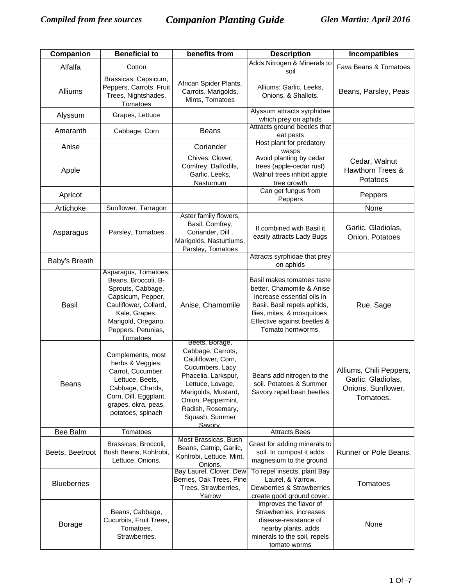| Companion          | <b>Beneficial to</b>                                                                                                                                                                    | benefits from                                                                                                                                                                                                          | <b>Description</b>                                                                                                                                                                                      | <b>Incompatibles</b>                                                             |
|--------------------|-----------------------------------------------------------------------------------------------------------------------------------------------------------------------------------------|------------------------------------------------------------------------------------------------------------------------------------------------------------------------------------------------------------------------|---------------------------------------------------------------------------------------------------------------------------------------------------------------------------------------------------------|----------------------------------------------------------------------------------|
| Alfalfa            | Cotton                                                                                                                                                                                  |                                                                                                                                                                                                                        | Adds Nitrogen & Minerals to<br>soil                                                                                                                                                                     | Fava Beans & Tomatoes                                                            |
| Alliums            | Brassicas, Capsicum,<br>Peppers, Carrots, Fruit<br>Trees, Nightshades,<br>Tomatoes                                                                                                      | African Spider Plants,<br>Carrots, Marigolds,<br>Mints, Tomatoes                                                                                                                                                       | Alliums: Garlic, Leeks,<br>Onions, & Shallots.                                                                                                                                                          | Beans, Parsley, Peas                                                             |
| Alyssum            | Grapes, Lettuce                                                                                                                                                                         |                                                                                                                                                                                                                        | Alyssum attracts syrphidae<br>which prey on aphids                                                                                                                                                      |                                                                                  |
| Amaranth           | Cabbage, Corn                                                                                                                                                                           | <b>Beans</b>                                                                                                                                                                                                           | Attracts ground beetles that<br>eat pests                                                                                                                                                               |                                                                                  |
| Anise              |                                                                                                                                                                                         | Coriander                                                                                                                                                                                                              | Host plant for predatory<br>wasps                                                                                                                                                                       |                                                                                  |
| Apple              |                                                                                                                                                                                         | Chives, Clover,<br>Comfrey, Daffodils,<br>Garlic, Leeks,<br>Nasturnum                                                                                                                                                  | Avoid planting by cedar<br>trees (apple-cedar rust)<br>Walnut trees inhibit apple<br>tree growth                                                                                                        | Cedar, Walnut<br>Hawthorn Trees &<br>Potatoes                                    |
| Apricot            |                                                                                                                                                                                         |                                                                                                                                                                                                                        | Can get fungus from<br>Peppers                                                                                                                                                                          | Peppers                                                                          |
| Artichoke          | Sunflower, Tarragon                                                                                                                                                                     |                                                                                                                                                                                                                        |                                                                                                                                                                                                         | None                                                                             |
| Asparagus          | Parsley, Tomatoes                                                                                                                                                                       | Aster family flowers,<br>Basil, Comfrey,<br>Coriander, Dill,<br>Marigolds, Nasturtiums,<br>Parsley, Tomatoes                                                                                                           | If combined with Basil it<br>easily attracts Lady Bugs                                                                                                                                                  | Garlic, Gladiolas,<br>Onion, Potatoes                                            |
| Baby's Breath      |                                                                                                                                                                                         |                                                                                                                                                                                                                        | Attracts syrphidae that prey<br>on aphids                                                                                                                                                               |                                                                                  |
| <b>Basil</b>       | Asparagus, Tomatoes,<br>Beans, Broccoli, B-<br>Sprouts, Cabbage,<br>Capsicum, Pepper,<br>Cauliflower, Collard,<br>Kale, Grapes,<br>Marigold, Oregano,<br>Peppers, Petunias,<br>Tomatoes | Anise, Chamomile                                                                                                                                                                                                       | Basil makes tomatoes taste<br>better. Chamomile & Anise<br>increase essential oils in<br>Basil. Basil repels aphids,<br>flies, mites, & mosquitoes.<br>Effective against beetles &<br>Tomato hornworms. | Rue, Sage                                                                        |
| Beans              | Complements, most<br>herbs & Veggies:<br>Carrot, Cucumber,<br>Lettuce, Beets,<br>Cabbage, Chards,<br>Corn, Dill, Eggplant,<br>grapes, okra, peas,<br>potatoes, spinach                  | Beets, Borage,<br>Cabbage, Carrots,<br>Cauliflower, Corn,<br>Cucumbers, Lacy<br>Phacelia, Larkspur,<br>Lettuce, Lovage,<br>Marigolds, Mustard,<br>Onion, Peppermint,<br>Radish, Rosemary,<br>Squash, Summer<br>Savory. | Beans add nitrogen to the<br>soil. Potatoes & Summer<br>Savory repel bean beetles                                                                                                                       | Alliums, Chili Peppers,<br>Garlic, Gladiolas,<br>Onions, Sunflower,<br>Tomatoes. |
| Bee Balm           | Tomatoes                                                                                                                                                                                | Most Brassicas, Bush                                                                                                                                                                                                   | <b>Attracts Bees</b>                                                                                                                                                                                    |                                                                                  |
| Beets, Beetroot    | Brassicas, Broccoli,<br>Bush Beans, Kohlrobi,<br>Lettuce, Onions.                                                                                                                       | Beans, Catnip, Garlic,<br>Kohlrobi, Lettuce, Mint,<br>Onions.                                                                                                                                                          | Great for adding minerals to<br>soil. In compost it adds<br>magnesium to the ground.                                                                                                                    | Runner or Pole Beans.                                                            |
| <b>Blueberries</b> |                                                                                                                                                                                         | Bay Laurel, Clover, Dew<br>Berries, Oak Trees, Pine<br>Trees, Strawberries,<br>Yarrow                                                                                                                                  | To repel insects, plant Bay<br>Laurel, & Yarrow.<br>Dewberries & Strawberries<br>create good ground cover.                                                                                              | Tomatoes                                                                         |
| <b>Borage</b>      | Beans, Cabbage,<br>Cucurbits, Fruit Trees,<br>Tomatoes,<br>Strawberries.                                                                                                                |                                                                                                                                                                                                                        | improves the flavor of<br>Strawberries, increases<br>disease-resistance of<br>nearby plants, adds<br>minerals to the soil, repels<br>tomato worms                                                       | None                                                                             |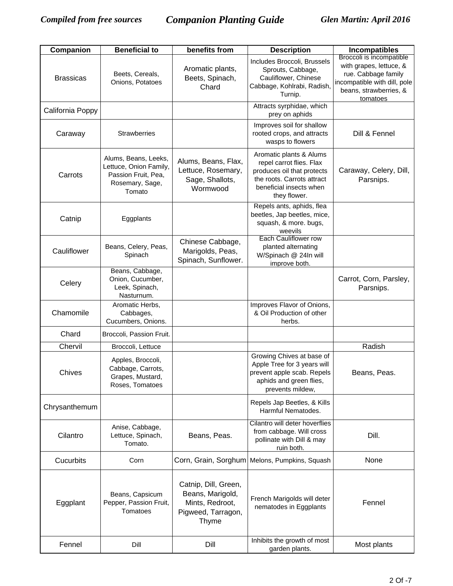| Companion        | <b>Beneficial to</b>                                                                               | benefits from                                                                              | <b>Description</b>                                                                                                                                         | Incompatibles                                                                                                                                    |
|------------------|----------------------------------------------------------------------------------------------------|--------------------------------------------------------------------------------------------|------------------------------------------------------------------------------------------------------------------------------------------------------------|--------------------------------------------------------------------------------------------------------------------------------------------------|
| <b>Brassicas</b> | Beets, Cereals,<br>Onions, Potatoes                                                                | Aromatic plants,<br>Beets, Spinach,<br>Chard                                               | Includes Broccoli, Brussels<br>Sprouts, Cabbage,<br>Cauliflower, Chinese<br>Cabbage, Kohlrabi, Radish,<br>Turnip.                                          | Broccoli is incompatible<br>with grapes, lettuce, &<br>rue. Cabbage family<br>incompatible with dill, pole<br>beans, strawberries, &<br>tomatoes |
| California Poppy |                                                                                                    |                                                                                            | Attracts syrphidae, which<br>prey on aphids                                                                                                                |                                                                                                                                                  |
| Caraway          | <b>Strawberries</b>                                                                                |                                                                                            | Improves soil for shallow<br>rooted crops, and attracts<br>wasps to flowers                                                                                | Dill & Fennel                                                                                                                                    |
| Carrots          | Alums, Beans, Leeks,<br>Lettuce, Onion Family,<br>Passion Fruit, Pea,<br>Rosemary, Sage,<br>Tomato | Alums, Beans, Flax,<br>Lettuce, Rosemary,<br>Sage, Shallots,<br>Wormwood                   | Aromatic plants & Alums<br>repel carrot flies. Flax<br>produces oil that protects<br>the roots. Carrots attract<br>beneficial insects when<br>they flower. | Caraway, Celery, Dill,<br>Parsnips.                                                                                                              |
| Catnip           | Eggplants                                                                                          |                                                                                            | Repels ants, aphids, flea<br>beetles, Jap beetles, mice,<br>squash, & more. bugs,<br>weevils                                                               |                                                                                                                                                  |
| Cauliflower      | Beans, Celery, Peas,<br>Spinach                                                                    | Chinese Cabbage,<br>Marigolds, Peas,<br>Spinach, Sunflower.                                | Each Cauliflower row<br>planted alternating<br>W/Spinach @ 24In will<br>improve both.                                                                      |                                                                                                                                                  |
| Celery           | Beans, Cabbage,<br>Onion, Cucumber,<br>Leek, Spinach,<br>Nasturnum.                                |                                                                                            |                                                                                                                                                            | Carrot, Corn, Parsley,<br>Parsnips.                                                                                                              |
| Chamomile        | Aromatic Herbs,<br>Cabbages,<br>Cucumbers, Onions.                                                 |                                                                                            | Improves Flavor of Onions,<br>& Oil Production of other<br>herbs.                                                                                          |                                                                                                                                                  |
| Chard            | Broccoli, Passion Fruit.                                                                           |                                                                                            |                                                                                                                                                            |                                                                                                                                                  |
| Chervil          | Broccoli, Lettuce                                                                                  |                                                                                            |                                                                                                                                                            | Radish                                                                                                                                           |
| Chives           | Apples, Broccoli,<br>Cabbage, Carrots,<br>Grapes, Mustard,<br>Roses, Tomatoes                      |                                                                                            | Growing Chives at base of<br>Apple Tree for 3 years will<br>prevent apple scab. Repels<br>aphids and green flies,<br>prevents mildew,                      | Beans, Peas.                                                                                                                                     |
| Chrysanthemum    |                                                                                                    |                                                                                            | Repels Jap Beetles, & Kills<br>Harmful Nematodes.                                                                                                          |                                                                                                                                                  |
| Cilantro         | Anise, Cabbage,<br>Lettuce, Spinach,<br>Tomato.                                                    | Beans, Peas.                                                                               | Cilantro will deter hoverflies<br>from cabbage. Will cross<br>pollinate with Dill & may<br>ruin both.                                                      | Dill.                                                                                                                                            |
| Cucurbits        | Corn                                                                                               | Corn, Grain, Sorghum                                                                       | Melons, Pumpkins, Squash                                                                                                                                   | None                                                                                                                                             |
| Eggplant         | Beans, Capsicum<br>Pepper, Passion Fruit,<br>Tomatoes                                              | Catnip, Dill, Green,<br>Beans, Marigold,<br>Mints, Redroot,<br>Pigweed, Tarragon,<br>Thyme | French Marigolds will deter<br>nematodes in Eggplants                                                                                                      | Fennel                                                                                                                                           |
| Fennel           | Dill                                                                                               | Dill                                                                                       | Inhibits the growth of most<br>garden plants.                                                                                                              | Most plants                                                                                                                                      |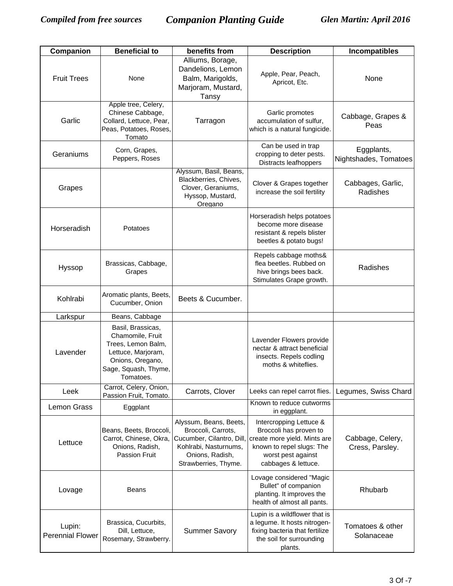| Companion                         | <b>Beneficial to</b>                                                                                                                       | benefits from                                                                                                                                 | <b>Description</b>                                                                                                                                          | Incompatibles                       |
|-----------------------------------|--------------------------------------------------------------------------------------------------------------------------------------------|-----------------------------------------------------------------------------------------------------------------------------------------------|-------------------------------------------------------------------------------------------------------------------------------------------------------------|-------------------------------------|
| <b>Fruit Trees</b>                | None                                                                                                                                       | Alliums, Borage,<br>Dandelions, Lemon<br>Balm, Marigolds,<br>Marjoram, Mustard,<br>Tansy                                                      | Apple, Pear, Peach,<br>Apricot, Etc.                                                                                                                        | None                                |
| Garlic                            | Apple tree, Celery,<br>Chinese Cabbage,<br>Collard, Lettuce, Pear,<br>Peas, Potatoes, Roses,<br>Tomato                                     | Tarragon                                                                                                                                      | Garlic promotes<br>accumulation of sulfur,<br>which is a natural fungicide.                                                                                 | Cabbage, Grapes &<br>Peas           |
| Geraniums                         | Corn, Grapes,<br>Peppers, Roses                                                                                                            |                                                                                                                                               | Can be used in trap<br>cropping to deter pests.<br>Distracts leafhoppers                                                                                    | Eggplants,<br>Nightshades, Tomatoes |
| Grapes                            |                                                                                                                                            | Alyssum, Basil, Beans,<br>Blackberries, Chives,<br>Clover, Geraniums,<br>Hyssop, Mustard,<br>Oregano                                          | Clover & Grapes together<br>increase the soil fertility                                                                                                     | Cabbages, Garlic,<br>Radishes       |
| Horseradish                       | Potatoes                                                                                                                                   |                                                                                                                                               | Horseradish helps potatoes<br>become more disease<br>resistant & repels blister<br>beetles & potato bugs!                                                   |                                     |
| Hyssop                            | Brassicas, Cabbage,<br>Grapes                                                                                                              |                                                                                                                                               | Repels cabbage moths&<br>flea beetles. Rubbed on<br>hive brings bees back.<br>Stimulates Grape growth.                                                      | Radishes                            |
| Kohlrabi                          | Aromatic plants, Beets,<br>Cucumber, Onion                                                                                                 | Beets & Cucumber.                                                                                                                             |                                                                                                                                                             |                                     |
| Larkspur                          | Beans, Cabbage                                                                                                                             |                                                                                                                                               |                                                                                                                                                             |                                     |
| Lavender                          | Basil, Brassicas,<br>Chamomile, Fruit<br>Trees, Lemon Balm,<br>Lettuce, Marjoram,<br>Onions, Oregano,<br>Sage, Squash, Thyme,<br>Tomatoes. |                                                                                                                                               | Lavender Flowers provide<br>nectar & attract beneficial<br>insects. Repels codling<br>moths & whiteflies.                                                   |                                     |
| Leek                              | Carrot, Celery, Onion,<br>Passion Fruit, Tomato.                                                                                           | Carrots, Clover                                                                                                                               | Leeks can repel carrot flies.                                                                                                                               | Legumes, Swiss Chard                |
| Lemon Grass                       | Eggplant                                                                                                                                   |                                                                                                                                               | Known to reduce cutworms<br>in eggplant.                                                                                                                    |                                     |
| Lettuce                           | Beans, Beets, Broccoli,<br>Carrot, Chinese, Okra,<br>Onions, Radish,<br><b>Passion Fruit</b>                                               | Alyssum, Beans, Beets,<br>Broccoli, Carrots,<br>Cucumber, Cilantro, Dill,<br>Kohlrabi, Nasturnums,<br>Onions, Radish,<br>Strawberries, Thyme. | Intercropping Lettuce &<br>Broccoli has proven to<br>create more yield. Mints are<br>known to repel slugs: The<br>worst pest against<br>cabbages & lettuce. | Cabbage, Celery,<br>Cress, Parsley. |
| Lovage                            | <b>Beans</b>                                                                                                                               |                                                                                                                                               | Lovage considered "Magic<br>Bullet" of companion<br>planting. It improves the<br>health of almost all pants.                                                | Rhubarb                             |
| Lupin:<br><b>Perennial Flower</b> | Brassica, Cucurbits,<br>Dill, Lettuce,<br>Rosemary, Strawberry.                                                                            | <b>Summer Savory</b>                                                                                                                          | Lupin is a wildflower that is<br>a legume. It hosts nitrogen-<br>fixing bacteria that fertilize<br>the soil for surrounding<br>plants.                      | Tomatoes & other<br>Solanaceae      |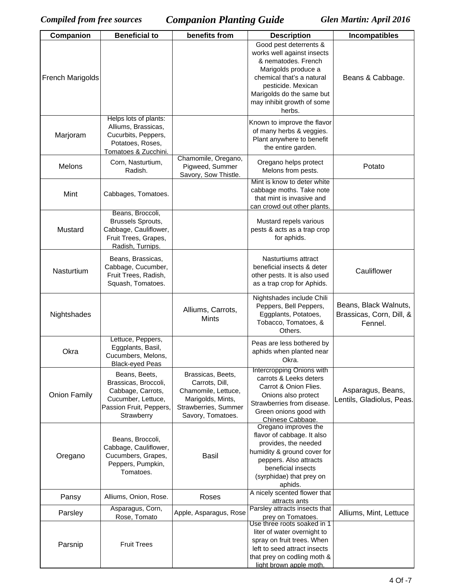| Companion           | <b>Beneficial to</b>                                                                                                      | benefits from                                                                                                                | <b>Description</b>                                                                                                                                                                                                         | <b>Incompatibles</b>                                         |
|---------------------|---------------------------------------------------------------------------------------------------------------------------|------------------------------------------------------------------------------------------------------------------------------|----------------------------------------------------------------------------------------------------------------------------------------------------------------------------------------------------------------------------|--------------------------------------------------------------|
| French Marigolds    |                                                                                                                           |                                                                                                                              | Good pest deterrents &<br>works well against insects<br>& nematodes. French<br>Marigolds produce a<br>chemical that's a natural<br>pesticide. Mexican<br>Marigolds do the same but<br>may inhibit growth of some<br>herbs. | Beans & Cabbage.                                             |
| Marjoram            | Helps lots of plants:<br>Alliums, Brassicas,<br>Cucurbits, Peppers,<br>Potatoes, Roses,<br>Tomatoes & Zucchini.           |                                                                                                                              | Known to improve the flavor<br>of many herbs & veggies.<br>Plant anywhere to benefit<br>the entire garden.                                                                                                                 |                                                              |
| Melons              | Corn, Nasturtium,<br>Radish.                                                                                              | Chamomile, Oregano,<br>Pigweed, Summer<br>Savory, Sow Thistle.                                                               | Oregano helps protect<br>Melons from pests.                                                                                                                                                                                | Potato                                                       |
| Mint                | Cabbages, Tomatoes.                                                                                                       |                                                                                                                              | Mint is know to deter white<br>cabbage moths. Take note<br>that mint is invasive and<br>can crowd out other plants.                                                                                                        |                                                              |
| Mustard             | Beans, Broccoli,<br>Brussels Sprouts,<br>Cabbage, Cauliflower,<br>Fruit Trees, Grapes,<br>Radish, Turnips.                |                                                                                                                              | Mustard repels various<br>pests & acts as a trap crop<br>for aphids.                                                                                                                                                       |                                                              |
| Nasturtium          | Beans, Brassicas,<br>Cabbage, Cucumber,<br>Fruit Trees, Radish,<br>Squash, Tomatoes.                                      |                                                                                                                              | Nasturtiums attract<br>beneficial insects & deter<br>other pests. It is also used<br>as a trap crop for Aphids.                                                                                                            | Cauliflower                                                  |
| Nightshades         |                                                                                                                           | Alliums, Carrots,<br><b>Mints</b>                                                                                            | Nightshades include Chili<br>Peppers, Bell Peppers,<br>Eggplants, Potatoes,<br>Tobacco, Tomatoes, &<br>Others.                                                                                                             | Beans, Black Walnuts,<br>Brassicas, Corn, Dill, &<br>Fennel. |
| Okra                | Lettuce, Peppers,<br>Eggplants, Basil,<br>Cucumbers, Melons,<br><b>Black-eyed Peas</b>                                    |                                                                                                                              | Peas are less bothered by<br>aphids when planted near<br>Okra.                                                                                                                                                             |                                                              |
| <b>Onion Family</b> | Beans, Beets,<br>Brassicas, Broccoli,<br>Cabbage, Carrots,<br>Cucumber, Lettuce,<br>Passion Fruit, Peppers,<br>Strawberry | Brassicas, Beets,<br>Carrots, Dill,<br>Chamomile, Lettuce,<br>Marigolds, Mints,<br>Strawberries, Summer<br>Savory, Tomatoes. | Intercropping Onions with<br>carrots & Leeks deters<br>Carrot & Onion Flies.<br>Onions also protect<br>Strawberries from disease.<br>Green onions good with<br>Chinese Cabbage.                                            | Asparagus, Beans,<br>Lentils, Gladiolus, Peas.               |
| Oregano             | Beans, Broccoli,<br>Cabbage, Cauliflower,<br>Cucumbers, Grapes,<br>Peppers, Pumpkin,<br>Tomatoes.                         | <b>Basil</b>                                                                                                                 | Oregano improves the<br>flavor of cabbage. It also<br>provides, the needed<br>humidity & ground cover for<br>peppers. Also attracts<br>beneficial insects<br>(syrphidae) that prey on<br>aphids.                           |                                                              |
| Pansy               | Alliums, Onion, Rose.                                                                                                     | Roses                                                                                                                        | A nicely scented flower that<br>attracts ants                                                                                                                                                                              |                                                              |
| Parsley             | Asparagus, Corn,<br>Rose, Tomato                                                                                          | Apple, Asparagus, Rose                                                                                                       | Parsley attracts insects that<br>prey on Tomatoes.                                                                                                                                                                         | Alliums, Mint, Lettuce                                       |
| Parsnip             | <b>Fruit Trees</b>                                                                                                        |                                                                                                                              | Use three roots soaked in 1<br>liter of water overnight to<br>spray on fruit trees. When<br>left to seed attract insects<br>that prey on codling moth &<br>light brown apple moth.                                         |                                                              |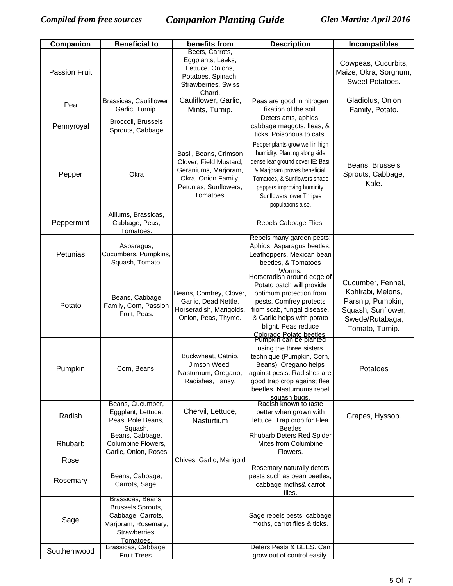| Companion            | <b>Beneficial to</b>                 | benefits from                                  | <b>Description</b>                                       | <b>Incompatibles</b>       |
|----------------------|--------------------------------------|------------------------------------------------|----------------------------------------------------------|----------------------------|
|                      |                                      | Beets, Carrots,                                |                                                          |                            |
|                      |                                      | Eggplants, Leeks,<br>Lettuce, Onions,          |                                                          | Cowpeas, Cucurbits,        |
| <b>Passion Fruit</b> |                                      | Potatoes, Spinach,                             |                                                          | Maize, Okra, Sorghum,      |
|                      |                                      | Strawberries, Swiss                            |                                                          | Sweet Potatoes.            |
|                      |                                      | Chard.                                         |                                                          |                            |
| Pea                  | Brassicas, Cauliflower,              | Cauliflower, Garlic,                           | Peas are good in nitrogen                                | Gladiolus, Onion           |
|                      | Garlic, Turnip.                      | Mints, Turnip.                                 | fixation of the soil.                                    | Family, Potato.            |
|                      | Broccoli, Brussels                   |                                                | Deters ants, aphids,                                     |                            |
| Pennyroyal           | Sprouts, Cabbage                     |                                                | cabbage maggots, fleas, &<br>ticks. Poisonous to cats.   |                            |
|                      |                                      |                                                | Pepper plants grow well in high                          |                            |
|                      |                                      | Basil, Beans, Crimson                          | humidity. Planting along side                            |                            |
|                      |                                      | Clover, Field Mustard,                         | dense leaf ground cover IE: Basil                        |                            |
|                      |                                      | Geraniums, Marjoram,                           | & Marjoram proves beneficial.                            | Beans, Brussels            |
| Pepper               | Okra                                 | Okra, Onion Family,                            | Tomatoes, & Sunflowers shade                             | Sprouts, Cabbage,<br>Kale. |
|                      |                                      | Petunias, Sunflowers,                          | peppers improving humidity.                              |                            |
|                      |                                      | Tomatoes.                                      | Sunflowers lower Thripes                                 |                            |
|                      |                                      |                                                | populations also.                                        |                            |
|                      | Alliums, Brassicas,                  |                                                |                                                          |                            |
| Peppermint           | Cabbage, Peas,<br>Tomatoes.          |                                                | Repels Cabbage Flies.                                    |                            |
|                      |                                      |                                                | Repels many garden pests:                                |                            |
|                      | Asparagus,                           |                                                | Aphids, Asparagus beetles,                               |                            |
| Petunias             | Cucumbers, Pumpkins,                 |                                                | Leafhoppers, Mexican bean                                |                            |
|                      | Squash, Tomato.                      |                                                | beetles, & Tomatoes                                      |                            |
|                      |                                      |                                                | Worms.<br>Horseradish around edge of                     |                            |
|                      |                                      |                                                | Potato patch will provide                                | Cucumber, Fennel,          |
|                      | Beans, Cabbage                       | Beans, Comfrey, Clover,                        | optimum protection from                                  | Kohlrabi, Melons,          |
| Potato               | Family, Corn, Passion                | Garlic, Dead Nettle,                           | pests. Comfrey protects                                  | Parsnip, Pumpkin,          |
|                      | Fruit, Peas.                         | Horseradish, Marigolds,<br>Onion, Peas, Thyme. | from scab, fungal disease,<br>& Garlic helps with potato | Squash, Sunflower,         |
|                      |                                      |                                                | blight. Peas reduce                                      | Swede/Rutabaga,            |
|                      |                                      |                                                | Colorado Potato beetles.<br>Pumpkin can be planted       | Tomato, Turnip.            |
|                      |                                      |                                                |                                                          |                            |
|                      |                                      | Buckwheat, Catnip,                             | using the three sisters<br>technique (Pumpkin, Corn,     |                            |
|                      |                                      | Jimson Weed,                                   | Beans). Oregano helps                                    |                            |
| Pumpkin              | Corn, Beans.                         | Nasturnum, Oregano,                            | against pests. Radishes are                              | Potatoes                   |
|                      |                                      | Radishes, Tansy.                               | good trap crop against flea                              |                            |
|                      |                                      |                                                | beetles. Nasturnums repel                                |                            |
|                      | Beans, Cucumber,                     |                                                | squash bugs.<br>Radish known to taste                    |                            |
|                      | Eggplant, Lettuce,                   | Chervil, Lettuce,                              | better when grown with                                   |                            |
| Radish               | Peas, Pole Beans,                    | <b>Nasturtium</b>                              | lettuce. Trap crop for Flea                              | Grapes, Hyssop.            |
|                      | Squash.<br>Beans, Cabbage,           |                                                | <b>Beetles</b><br><b>Rhubarb Deters Red Spider</b>       |                            |
| Rhubarb              | Columbine Flowers,                   |                                                | Mites from Columbine                                     |                            |
|                      | Garlic, Onion, Roses                 |                                                | Flowers.                                                 |                            |
| Rose                 |                                      | Chives, Garlic, Marigold                       |                                                          |                            |
|                      |                                      |                                                | Rosemary naturally deters                                |                            |
| Rosemary             | Beans, Cabbage,<br>Carrots, Sage.    |                                                | pests such as bean beetles,<br>cabbage moths& carrot     |                            |
|                      |                                      |                                                | flies.                                                   |                            |
|                      | Brassicas, Beans,                    |                                                |                                                          |                            |
|                      | Brussels Sprouts,                    |                                                |                                                          |                            |
| Sage                 | Cabbage, Carrots,                    |                                                | Sage repels pests: cabbage                               |                            |
|                      | Marjoram, Rosemary,<br>Strawberries, |                                                | moths, carrot flies & ticks.                             |                            |
|                      | Tomatoes.                            |                                                |                                                          |                            |
| Southernwood         | Brassicas, Cabbage,                  |                                                | Deters Pests & BEES. Can                                 |                            |
|                      | Fruit Trees.                         |                                                | grow out of control easily.                              |                            |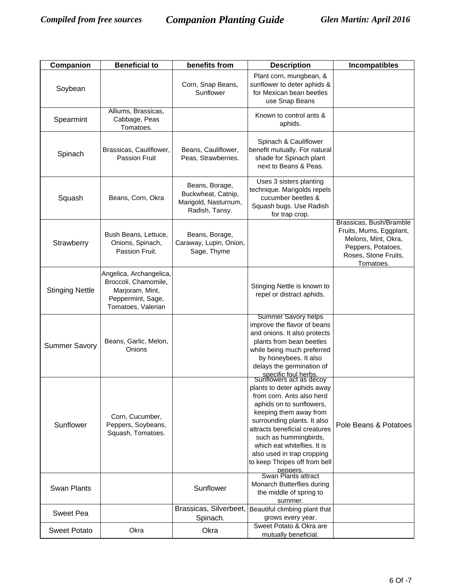| Companion              | <b>Beneficial to</b>                                                                                          | benefits from                                                                  | <b>Description</b>                                                                                                                                                                                                                                                                                                                                       | Incompatibles                                                                                                                        |
|------------------------|---------------------------------------------------------------------------------------------------------------|--------------------------------------------------------------------------------|----------------------------------------------------------------------------------------------------------------------------------------------------------------------------------------------------------------------------------------------------------------------------------------------------------------------------------------------------------|--------------------------------------------------------------------------------------------------------------------------------------|
| Soybean                |                                                                                                               | Corn, Snap Beans,<br>Sunflower                                                 | Plant corn, mungbean, &<br>sunflower to deter aphids &<br>for Mexican bean beetles<br>use Snap Beans                                                                                                                                                                                                                                                     |                                                                                                                                      |
| Spearmint              | Alliums, Brassicas,<br>Cabbage, Peas<br>Tomatoes.                                                             |                                                                                | Known to control ants &<br>aphids.                                                                                                                                                                                                                                                                                                                       |                                                                                                                                      |
| Spinach                | Brassicas, Cauliflower,<br><b>Passion Fruit</b>                                                               | Beans, Cauliflower,<br>Peas, Strawberries.                                     | Spinach & Cauliflower<br>benefit mutually. For natural<br>shade for Spinach plant<br>next to Beans & Peas.                                                                                                                                                                                                                                               |                                                                                                                                      |
| Squash                 | Beans, Corn, Okra                                                                                             | Beans, Borage,<br>Buckwheat, Catnip,<br>Marigold, Nasturnum,<br>Radish, Tansy. | Uses 3 sisters planting<br>technique. Marigolds repels<br>cucumber beetles &<br>Squash bugs. Use Radish<br>for trap crop.                                                                                                                                                                                                                                |                                                                                                                                      |
| Strawberry             | Bush Beans, Lettuce,<br>Onions, Spinach,<br>Passion Fruit.                                                    | Beans, Borage,<br>Caraway, Lupin, Onion,<br>Sage, Thyme                        |                                                                                                                                                                                                                                                                                                                                                          | Brassicas, Bush/Bramble<br>Fruits, Mums, Eggplant,<br>Melons, Mint, Okra,<br>Peppers, Potatoes,<br>Roses, Stone Fruits,<br>Tomatoes. |
| <b>Stinging Nettle</b> | Angelica, Archangelica,<br>Broccoli, Chamomile,<br>Marjoram, Mint,<br>Peppermint, Sage,<br>Tomatoes, Valerian |                                                                                | Stinging Nettle is known to<br>repel or distract aphids.                                                                                                                                                                                                                                                                                                 |                                                                                                                                      |
| <b>Summer Savory</b>   | Beans, Garlic, Melon,<br>Onions                                                                               |                                                                                | Summer Savory helps<br>improve the flavor of beans<br>and onions. It also protects<br>plants from bean beetles<br>while being much preferred<br>by honeybees. It also<br>delays the germination of                                                                                                                                                       |                                                                                                                                      |
| Sunflower              | Corn, Cucumber,<br>Peppers, Soybeans,<br>Squash, Tomatoes.                                                    |                                                                                | specific foul herbs.<br>Sunflowers act as decoy<br>plants to deter aphids away<br>from corn. Ants also herd<br>aphids on to sunflowers,<br>keeping them away from<br>surrounding plants. It also<br>attracts beneficial creatures<br>such as hummingbirds,<br>which eat whiteflies. It is<br>also used in trap cropping<br>to keep Thripes off from bell | Pole Beans & Potatoes                                                                                                                |
| <b>Swan Plants</b>     |                                                                                                               | Sunflower                                                                      | peppers.<br>Swan Plants attract<br>Monarch Butterflies during<br>the middle of spring to<br>summer.                                                                                                                                                                                                                                                      |                                                                                                                                      |
| <b>Sweet Pea</b>       |                                                                                                               | Brassicas, Silverbeet,<br>Spinach.                                             | Beautiful climbing plant that<br>grows every year.                                                                                                                                                                                                                                                                                                       |                                                                                                                                      |
| <b>Sweet Potato</b>    | Okra                                                                                                          | Okra                                                                           | Sweet Potato & Okra are<br>mutually beneficial.                                                                                                                                                                                                                                                                                                          |                                                                                                                                      |